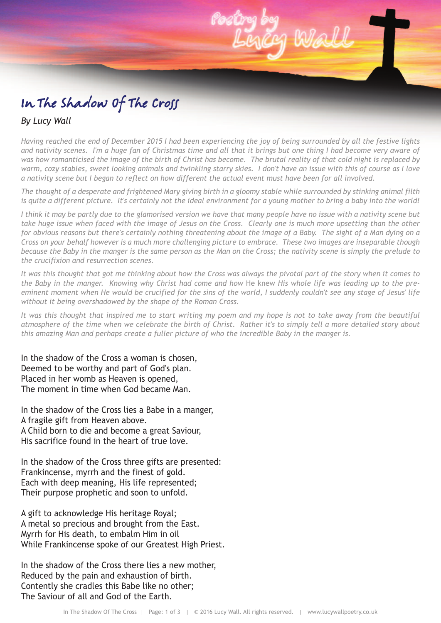# In The Shadow Of The Cross

# *By Lucy Wall*

Having reached the end of December 2015 I had been experiencing the joy of being surrounded by all the festive lights and nativity scenes. I'm a huge fan of Christmas time and all that it brings but one thing I had become very aware of was how romanticised the image of the birth of Christ has become. The brutal reality of that cold night is replaced by warm, cozy stables, sweet looking animals and twinkling starry skies. I don't have an issue with this of course as I love a nativity scene but I began to reflect on how different the actual event must have been for all involved.

The thought of a desperate and frightened Mary giving birth in a gloomy stable while surrounded by stinking animal filth is quite a different picture. It's certainly not the ideal environment for a young mother to bring a baby into the world!

I think it may be partly due to the glamorised version we have that many people have no issue with a nativity scene but take huge issue when faced with the image of Jesus on the Cross. Clearly one is much more upsetting than the other for obvious reasons but there's certainly nothing threatening about the image of a Baby. The sight of a Man dying on a Cross on your behalf however is a much more challenging picture to embrace. These two images are inseparable though because the Baby in the manger is the same person as the Man on the Cross; the nativity scene is simply the prelude to *the crucifixion and resurrection scenes.*

It was this thought that got me thinking about how the Cross was always the pivotal part of the story when it comes to the Baby in the manger. Knowing why Christ had come and how He knew His whole life was leading up to the preeminent moment when He would be crucified for the sins of the world, I suddenly couldn't see any stage of Jesus' life *without it being overshadowed by the shape of the Roman Cross.*

It was this thought that inspired me to start writing my poem and my hope is not to take away from the beautiful atmosphere of the time when we celebrate the birth of Christ. Rather it's to simply tell a more detailed story about *this amazing Man and perhaps create a fuller picture of who the incredible Baby in the manger is.*

In the shadow of the Cross a woman is chosen, Deemed to be worthy and part of God's plan. Placed in her womb as Heaven is opened, The moment in time when God became Man.

In the shadow of the Cross lies a Babe in a manger, A fragile gift from Heaven above. A Child born to die and become a great Saviour, His sacrifice found in the heart of true love.

In the shadow of the Cross three gifts are presented: Frankincense, myrrh and the finest of gold. Each with deep meaning, His life represented; Their purpose prophetic and soon to unfold.

A gift to acknowledge His heritage Royal; A metal so precious and brought from the East. Myrrh for His death, to embalm Him in oil While Frankincense spoke of our Greatest High Priest.

In the shadow of the Cross there lies a new mother, Reduced by the pain and exhaustion of birth. Contently she cradles this Babe like no other; The Saviour of all and God of the Earth.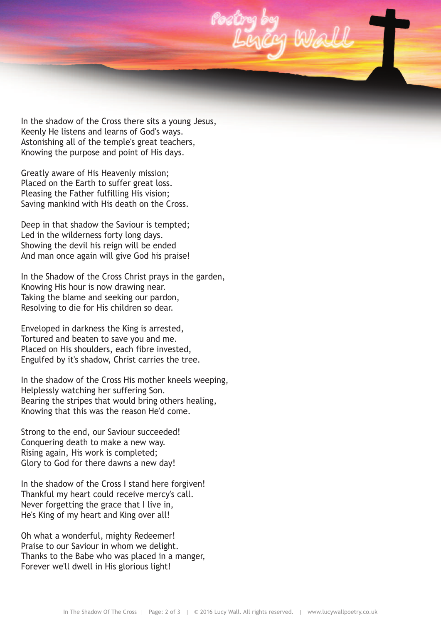

In the shadow of the Cross there sits a young Jesus, Keenly He listens and learns of God's ways. Astonishing all of the temple's great teachers, Knowing the purpose and point of His days.

Greatly aware of His Heavenly mission; Placed on the Earth to suffer great loss. Pleasing the Father fulfilling His vision; Saving mankind with His death on the Cross.

Deep in that shadow the Saviour is tempted; Led in the wilderness forty long days. Showing the devil his reign will be ended And man once again will give God his praise!

In the Shadow of the Cross Christ prays in the garden, Knowing His hour is now drawing near. Taking the blame and seeking our pardon, Resolving to die for His children so dear.

Enveloped in darkness the King is arrested, Tortured and beaten to save you and me. Placed on His shoulders, each fibre invested, Engulfed by it's shadow, Christ carries the tree.

In the shadow of the Cross His mother kneels weeping, Helplessly watching her suffering Son. Bearing the stripes that would bring others healing, Knowing that this was the reason He'd come.

Strong to the end, our Saviour succeeded! Conquering death to make a new way. Rising again, His work is completed; Glory to God for there dawns a new day!

In the shadow of the Cross I stand here forgiven! Thankful my heart could receive mercy's call. Never forgetting the grace that I live in, He's King of my heart and King over all!

Oh what a wonderful, mighty Redeemer! Praise to our Saviour in whom we delight. Thanks to the Babe who was placed in a manger, Forever we'll dwell in His glorious light!